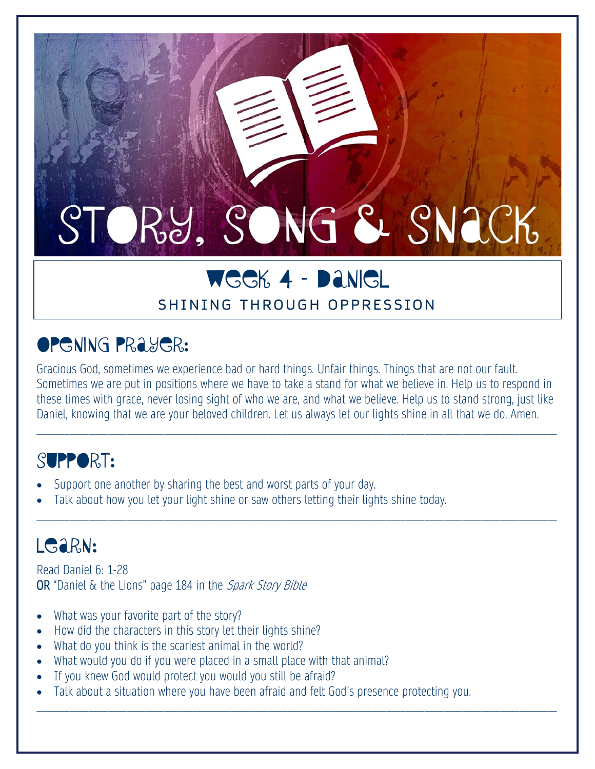# STORY, SONG & SNACK

## WEEK 4 – DANIEL

#### SHINING THROUGH OPPRESSION

## **OPGNING PRAYER:**

Gracious God, sometimes we experience bad or hard things. Unfair things. Things that are not our fault. Sometimes we are put in positions where we have to take a stand for what we believe in. Help us to respond in these times with grace, never losing sight of who we are, and what we believe. Help us to stand strong, just like Daniel, knowing that we are your beloved children. Let us always let our lights shine in all that we do. Amen.

\_\_\_\_\_\_\_\_\_\_\_\_\_\_\_\_\_\_\_\_\_\_\_\_\_\_\_\_\_\_\_\_\_\_\_\_\_\_\_\_\_\_\_\_\_\_\_\_\_\_\_\_\_\_\_\_\_\_\_\_\_\_\_\_\_\_\_\_\_\_\_\_\_\_\_\_\_\_\_\_\_\_\_\_\_\_\_\_\_\_\_\_\_\_\_\_\_\_\_\_\_\_\_\_\_\_\_\_\_\_

\_\_\_\_\_\_\_\_\_\_\_\_\_\_\_\_\_\_\_\_\_\_\_\_\_\_\_\_\_\_\_\_\_\_\_\_\_\_\_\_\_\_\_\_\_\_\_\_\_\_\_\_\_\_\_\_\_\_\_\_\_\_\_\_\_\_\_\_\_\_\_\_\_\_\_\_\_\_\_\_\_\_\_\_\_\_\_\_\_\_\_\_\_\_\_\_\_\_\_\_\_\_\_\_\_\_\_\_\_\_

\_\_\_\_\_\_\_\_\_\_\_\_\_\_\_\_\_\_\_\_\_\_\_\_\_\_\_\_\_\_\_\_\_\_\_\_\_\_\_\_\_\_\_\_\_\_\_\_\_\_\_\_\_\_\_\_\_\_\_\_\_\_\_\_\_\_\_\_\_\_\_\_\_\_\_\_\_\_\_\_\_\_\_\_\_\_\_\_\_\_\_\_\_\_\_\_\_\_\_\_\_\_\_\_\_\_\_\_\_\_

#### SUPPORT:

- Support one another by sharing the best and worst parts of your day.
- Talk about how you let your light shine or saw others letting their lights shine today.

## LGARN:

Read Daniel 6: 1-28 OR "Daniel & the Lions" page 184 in the Spark Story Bible

- What was your favorite part of the story?
- How did the characters in this story let their lights shine?
- What do you think is the scariest animal in the world?
- What would you do if you were placed in a small place with that animal?
- If you knew God would protect you would you still be afraid?
- Talk about a situation where you have been afraid and felt God's presence protecting you.